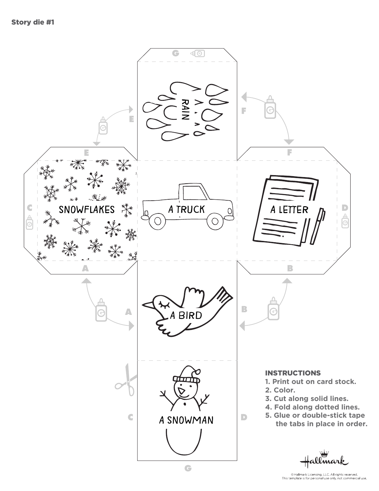

<sup>©</sup> Hallmark Licensing, LLC. All rights reserved.<br>This template is for personal use only, not commercial use.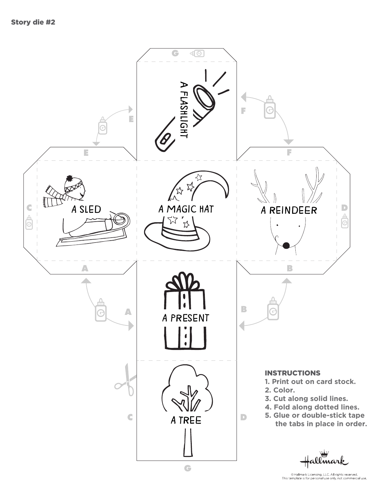

<sup>©</sup> Hallmark Licensing, LLC. All rights reserved.<br>This template is for personal use only, not commercial use.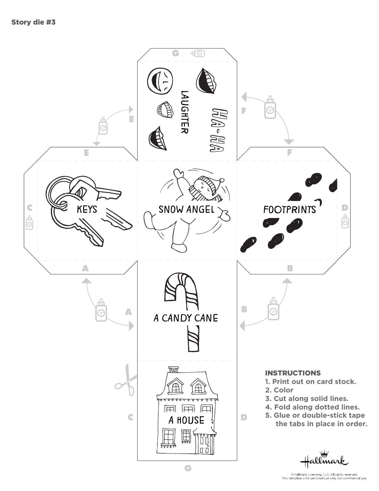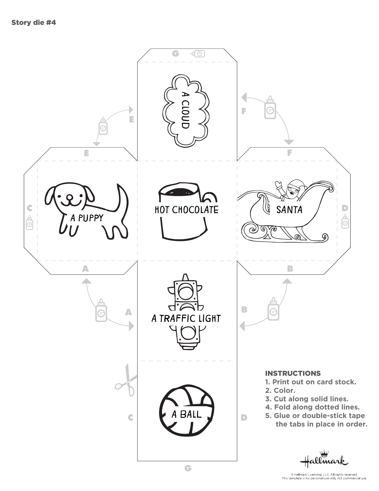